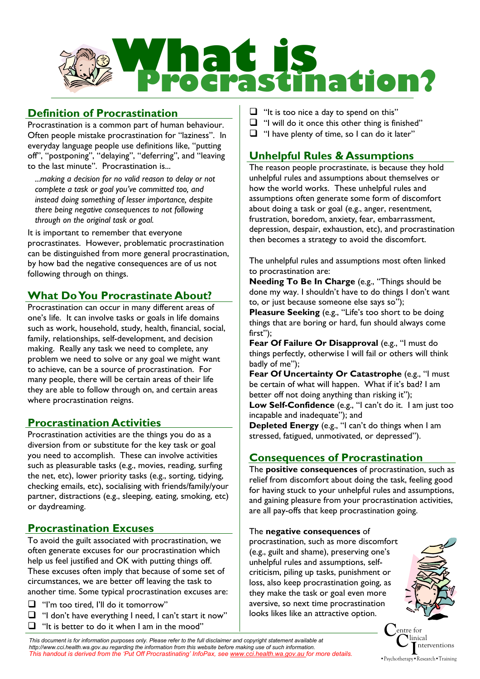

# **Definition of Procrastination**

Procrastination is a common part of human behaviour. Often people mistake procrastination for "laziness". In everyday language people use definitions like, "putting off", "postponing", "delaying", "deferring", and "leaving to the last minute". Procrastination is...

*...making a decision for no valid reason to delay or not complete a task or goal you've committed too, and instead doing something of lesser importance, despite there being negative consequences to not following through on the original task or goal.* 

It is important to remember that everyone procrastinates. However, problematic procrastination can be distinguished from more general procrastination, by how bad the negative consequences are of us not following through on things.

# **What Do You Procrastinate About?**

Procrastination can occur in many different areas of one's life. It can involve tasks or goals in life domains such as work, household, study, health, financial, social, family, relationships, self-development, and decision making. Really any task we need to complete, any problem we need to solve or any goal we might want to achieve, can be a source of procrastination. For many people, there will be certain areas of their life they are able to follow through on, and certain areas where procrastination reigns.

# **Procrastination Activities**

Procrastination activities are the things you do as a diversion from or substitute for the key task or goal you need to accomplish. These can involve activities such as pleasurable tasks (e.g., movies, reading, surfing the net, etc), lower priority tasks (e.g., sorting, tidying, checking emails, etc), socialising with friends/family/your partner, distractions (e.g., sleeping, eating, smoking, etc) or daydreaming.

# **Procrastination Excuses**

To avoid the guilt associated with procrastination, we often generate excuses for our procrastination which help us feel justified and OK with putting things off. These excuses often imply that because of some set of circumstances, we are better off leaving the task to another time. Some typical procrastination excuses are:

 $\Box$  "I'm too tired, I'll do it tomorrow"

 $\Box$  "I don't have everything I need, I can't start it now"  $\Box$  "It is better to do it when I am in the mood"

- $\Box$  "It is too nice a day to spend on this"
- $\Box$  "I will do it once this other thing is finished"
- $\Box$  "I have plenty of time, so I can do it later"

# **Unhelpful Rules & Assumptions**

The reason people procrastinate, is because they hold unhelpful rules and assumptions about themselves or how the world works. These unhelpful rules and assumptions often generate some form of discomfort about doing a task or goal (e.g., anger, resentment, frustration, boredom, anxiety, fear, embarrassment, depression, despair, exhaustion, etc), and procrastination then becomes a strategy to avoid the discomfort.

The unhelpful rules and assumptions most often linked to procrastination are:

**Needing To Be In Charge** (e.g., "Things should be done my way. I shouldn't have to do things I don't want to, or just because someone else says so");

**Pleasure Seeking** (e.g., "Life's too short to be doing things that are boring or hard, fun should always come first");

**Fear Of Failure Or Disapproval** (e.g., "I must do things perfectly, otherwise I will fail or others will think badly of me");

Fear Of Uncertainty Or Catastrophe (e.g., "I must be certain of what will happen. What if it's bad? I am better off not doing anything than risking it");

**Low Self-Confidence** (e.g., "I can't do it. I am just too incapable and inadequate"); and

**Depleted Energy** (e.g., "I can't do things when I am stressed, fatigued, unmotivated, or depressed").

# **Consequences of Procrastination**

The **positive consequences** of procrastination, such as relief from discomfort about doing the task, feeling good for having stuck to your unhelpful rules and assumptions, and gaining pleasure from your procrastination activities, are all pay-offs that keep procrastination going.

#### The **negative consequences** of

procrastination, such as more discomfort (e.g., guilt and shame), preserving one's unhelpful rules and assumptions, selfcriticism, piling up tasks, punishment or loss, also keep procrastination going, as they make the task or goal even more aversive, so next time procrastination looks likes like an attractive option.



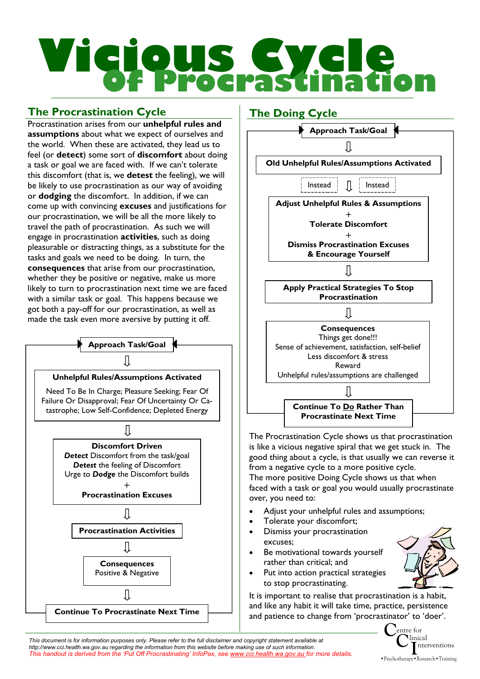# Vicious Cycle of Procrastination

# **The Procrastination Cycle**

Procrastination arises from our **unhelpful rules and assumptions** about what we expect of ourselves and the world. When these are activated, they lead us to feel (or **detect**) some sort of **discomfort** about doing a task or goal we are faced with. If we can't tolerate this discomfort (that is, we **detest** the feeling), we will be likely to use procrastination as our way of avoiding or **dodging** the discomfort. In addition, if we can come up with convincing **excuses** and justifications for our procrastination, we will be all the more likely to travel the path of procrastination. As such we will engage in procrastination **activities**, such as doing pleasurable or distracting things, as a substitute for the tasks and goals we need to be doing. In turn, the **consequences** that arise from our procrastination, whether they be positive or negative, make us more likely to turn to procrastination next time we are faced with a similar task or goal. This happens because we got both a pay-off for our procrastination, as well as made the task even more aversive by putting it off.





The more positive Doing Cycle shows us that when faced with a task or goal you would usually procrastinate over, you need to:

- Adjust your unhelpful rules and assumptions;
- Tolerate your discomfort;
- Dismiss your procrastination excuses;
- Be motivational towards yourself rather than critical; and
- Put into action practical strategies to stop procrastinating.

It is important to realise that procrastination is a habit, and like any habit it will take time, practice, persistence and patience to change from 'procrastinator' to 'doer'.

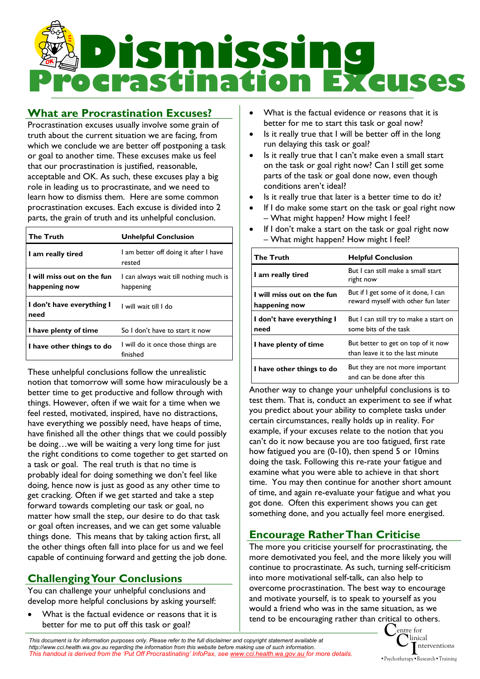

# **What are Procrastination Excuses?**

Procrastination excuses usually involve some grain of truth about the current situation we are facing, from which we conclude we are better off postponing a task or goal to another time. These excuses make us feel that our procrastination is justified, reasonable, acceptable and OK. As such, these excuses play a big role in leading us to procrastinate, and we need to learn how to dismiss them. Here are some common procrastination excuses. Each excuse is divided into 2 parts, the grain of truth and its unhelpful conclusion.

| <b>The Truth</b>                            | <b>Unhelpful Conclusion</b>                         |
|---------------------------------------------|-----------------------------------------------------|
| I am really tired                           | I am better off doing it after I have<br>rested     |
| I will miss out on the fun<br>happening now | I can always wait till nothing much is<br>happening |
| I don't have everything I<br>need           | l will wait till I do                               |
| I have plenty of time                       | So I don't have to start it now                     |
| I have other things to do                   | I will do it once those things are<br>finished      |

These unhelpful conclusions follow the unrealistic notion that tomorrow will some how miraculously be a better time to get productive and follow through with things. However, often if we wait for a time when we feel rested, motivated, inspired, have no distractions, have everything we possibly need, have heaps of time, have finished all the other things that we could possibly be doing…we will be waiting a very long time for just the right conditions to come together to get started on a task or goal. The real truth is that no time is probably ideal for doing something we don't feel like doing, hence now is just as good as any other time to get cracking. Often if we get started and take a step forward towards completing our task or goal, no matter how small the step, our desire to do that task or goal often increases, and we can get some valuable things done. This means that by taking action first, all the other things often fall into place for us and we feel capable of continuing forward and getting the job done.

# **Challenging Your Conclusions**

You can challenge your unhelpful conclusions and develop more helpful conclusions by asking yourself:

What is the factual evidence or reasons that it is better for me to put off this task or goal?

- What is the factual evidence or reasons that it is better for me to start this task or goal now?
- Is it really true that I will be better off in the long run delaying this task or goal?
- Is it really true that I can't make even a small start on the task or goal right now? Can I still get some parts of the task or goal done now, even though conditions aren't ideal?
- Is it really true that later is a better time to do it?
- If I do make some start on the task or goal right now – What might happen? How might I feel?
- If I don't make a start on the task or goal right now – What might happen? How might I feel?

| <b>The Truth</b>                            | <b>Helpful Conclusion</b>                                                 |
|---------------------------------------------|---------------------------------------------------------------------------|
| I am really tired                           | But I can still make a small start<br>right now                           |
| I will miss out on the fun<br>happening now | But if I get some of it done, I can<br>reward myself with other fun later |
| I don't have everything I<br>need           | But I can still try to make a start on<br>some bits of the task           |
| I have plenty of time                       | But better to get on top of it now<br>than leave it to the last minute    |
| I have other things to do                   | But they are not more important<br>and can be done after this             |

Another way to change your unhelpful conclusions is to test them. That is, conduct an experiment to see if what you predict about your ability to complete tasks under certain circumstances, really holds up in reality. For example, if your excuses relate to the notion that you can't do it now because you are too fatigued, first rate how fatigued you are (0-10), then spend 5 or 10mins doing the task. Following this re-rate your fatigue and examine what you were able to achieve in that short time. You may then continue for another short amount of time, and again re-evaluate your fatigue and what you got done. Often this experiment shows you can get something done, and you actually feel more energised.

# **Encourage Rather Than Criticise**

The more you criticise yourself for procrastinating, the more demotivated you feel, and the more likely you will continue to procrastinate. As such, turning self-criticism into more motivational self-talk, can also help to overcome procrastination. The best way to encourage and motivate yourself, is to speak to yourself as you would a friend who was in the same situation, as we tend to be encouraging rather than critical to others.

**C**entre for **C**linical **I**nterventions •Psychotherapy•Research•Training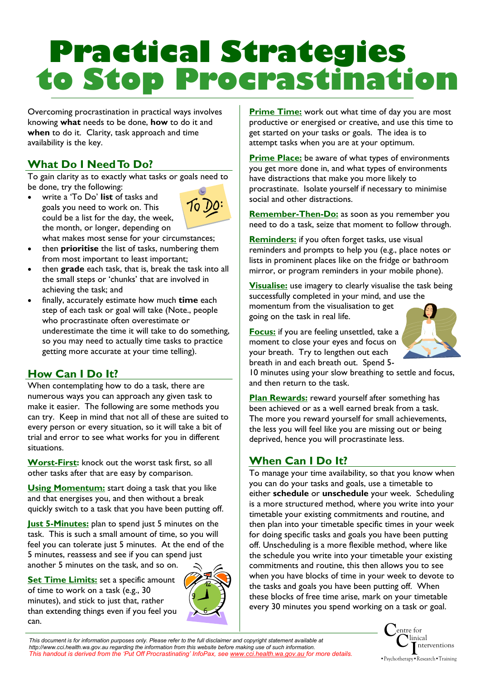# **Practical Strategies to Stop Procrastination**

Overcoming procrastination in practical ways involves knowing **what** needs to be done, **how** to do it and **when** to do it. Clarity, task approach and time availability is the key.

# **What Do I Need To Do?**

To gain clarity as to exactly what tasks or goals need to be done, try the following:

• write a 'To Do' **list** of tasks and goals you need to work on. This could be a list for the day, the week, the month, or longer, depending on



- what makes most sense for your circumstances; • then **prioritise** the list of tasks, numbering them
- from most important to least important; • then **grade** each task, that is, break the task into all the small steps or 'chunks' that are involved in achieving the task; and
- finally, accurately estimate how much **time** each step of each task or goal will take (Note., people who procrastinate often overestimate or underestimate the time it will take to do something, so you may need to actually time tasks to practice getting more accurate at your time telling).

# **How Can I Do It?**

When contemplating how to do a task, there are numerous ways you can approach any given task to make it easier. The following are some methods you can try. Keep in mind that not all of these are suited to every person or every situation, so it will take a bit of trial and error to see what works for you in different situations.

**Worst-First:** knock out the worst task first, so all other tasks after that are easy by comparison.

**Using Momentum:** start doing a task that you like and that energises you, and then without a break quickly switch to a task that you have been putting off.

**Just 5-Minutes:** plan to spend just 5 minutes on the task. This is such a small amount of time, so you will feel you can tolerate just 5 minutes. At the end of the 5 minutes, reassess and see if you can spend just another 5 minutes on the task, and so on.

**Set Time Limits:** set a specific amount of time to work on a task (e.g., 30 minutes), and stick to just that, rather than extending things even if you feel you can.



**Prime Time:** work out what time of day you are most productive or energised or creative, and use this time to get started on your tasks or goals. The idea is to attempt tasks when you are at your optimum.

**Prime Place:** be aware of what types of environments you get more done in, and what types of environments have distractions that make you more likely to procrastinate. Isolate yourself if necessary to minimise social and other distractions.

**Remember-Then-Do:** as soon as you remember you need to do a task, seize that moment to follow through.

**Reminders:** if you often forget tasks, use visual reminders and prompts to help you (e.g., place notes or lists in prominent places like on the fridge or bathroom mirror, or program reminders in your mobile phone).

**Visualise:** use imagery to clearly visualise the task being successfully completed in your mind, and use the momentum from the visualisation to get going on the task in real life.

**Focus:** if you are feeling unsettled, take a moment to close your eyes and focus on your breath. Try to lengthen out each breath in and each breath out. Spend 5-



10 minutes using your slow breathing to settle and focus, and then return to the task.

**Plan Rewards:** reward yourself after something has been achieved or as a well earned break from a task. The more you reward yourself for small achievements, the less you will feel like you are missing out or being deprived, hence you will procrastinate less.

# **When Can I Do It?**

To manage your time availability, so that you know when you can do your tasks and goals, use a timetable to either **schedule** or **unschedule** your week. Scheduling is a more structured method, where you write into your timetable your existing commitments and routine, and then plan into your timetable specific times in your week for doing specific tasks and goals you have been putting off. Unscheduling is a more flexible method, where like the schedule you write into your timetable your existing commitments and routine, this then allows you to see when you have blocks of time in your week to devote to the tasks and goals you have been putting off. When these blocks of free time arise, mark on your timetable every 30 minutes you spend working on a task or goal.

> **C**entre for **C**linical •Psychotherapy•Research•Training nterventions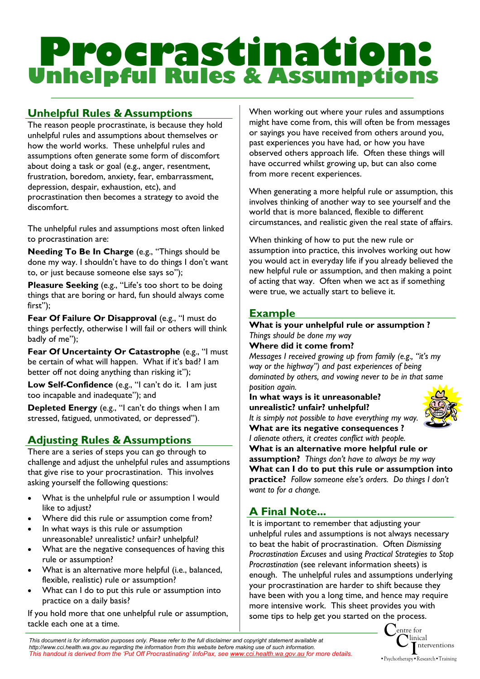# **Procrastination: Unhelpful Rules & Assumptions**

# **Unhelpful Rules & Assumptions**

The reason people procrastinate, is because they hold unhelpful rules and assumptions about themselves or how the world works. These unhelpful rules and assumptions often generate some form of discomfort about doing a task or goal (e.g., anger, resentment, frustration, boredom, anxiety, fear, embarrassment, depression, despair, exhaustion, etc), and procrastination then becomes a strategy to avoid the discomfort.

The unhelpful rules and assumptions most often linked to procrastination are:

**Needing To Be In Charge** (e.g., "Things should be done my way. I shouldn't have to do things I don't want to, or just because someone else says so");

**Pleasure Seeking** (e.g., "Life's too short to be doing things that are boring or hard, fun should always come first");

**Fear Of Failure Or Disapproval (e.g., "I must do** things perfectly, otherwise I will fail or others will think badly of me");

**Fear Of Uncertainty Or Catastrophe (e.g., "I must** be certain of what will happen. What if it's bad? I am better off not doing anything than risking it");

**Low Self-Confidence** (e.g., "I can't do it. I am just too incapable and inadequate"); and

**Depleted Energy** (e.g., "I can't do things when I am stressed, fatigued, unmotivated, or depressed").

# **Adjusting Rules & Assumptions**

There are a series of steps you can go through to challenge and adjust the unhelpful rules and assumptions that give rise to your procrastination. This involves asking yourself the following questions:

- What is the unhelpful rule or assumption I would like to adjust?
- Where did this rule or assumption come from?
- In what ways is this rule or assumption unreasonable? unrealistic? unfair? unhelpful?
- What are the negative consequences of having this rule or assumption?
- What is an alternative more helpful (i.e., balanced, flexible, realistic) rule or assumption?
- What can I do to put this rule or assumption into practice on a daily basis?

If you hold more that one unhelpful rule or assumption, tackle each one at a time.

When working out where your rules and assumptions might have come from, this will often be from messages or sayings you have received from others around you, past experiences you have had, or how you have observed others approach life. Often these things will have occurred whilst growing up, but can also come from more recent experiences.

When generating a more helpful rule or assumption, this involves thinking of another way to see yourself and the world that is more balanced, flexible to different circumstances, and realistic given the real state of affairs.

When thinking of how to put the new rule or assumption into practice, this involves working out how you would act in everyday life if you already believed the new helpful rule or assumption, and then making a point of acting that way. Often when we act as if something were true, we actually start to believe it.

### **Example**

#### **What is your unhelpful rule or assumption ?**  *Things should be done my way*

**Where did it come from?** 

*Messages I received growing up from family (e.g., "it's my way or the highway") and past experiences of being dominated by others, and vowing never to be in that same position again.* 

#### **In what ways is it unreasonable? unrealistic? unfair? unhelpful?**

*It is simply not possible to have everything my way.* **What are its negative consequences ?**  *I alienate others, it creates conflict with people.* 



**What is an alternative more helpful rule or assumption?** *Things don't have to always be my way*  **What can I do to put this rule or assumption into practice?** *Follow someone else's orders. Do things I don't want to for a change.* 

# **A Final Note...**

It is important to remember that adjusting your unhelpful rules and assumptions is not always necessary to beat the habit of procrastination. Often *Dismissing Procrastination Excuses* and using *Practical Strategies to Stop Procrastination* (see relevant information sheets) is enough. The unhelpful rules and assumptions underlying your procrastination are harder to shift because they have been with you a long time, and hence may require more intensive work. This sheet provides you with some tips to help get you started on the process.

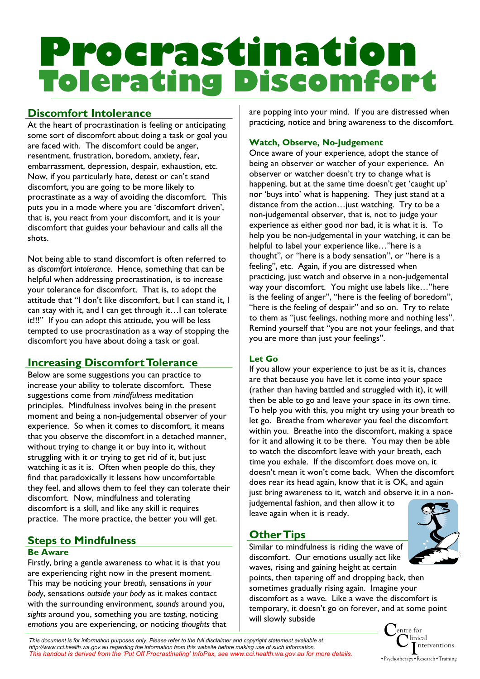# **Procrastination Tolerating Discomfort**

## **Discomfort Intolerance**

At the heart of procrastination is feeling or anticipating some sort of discomfort about doing a task or goal you are faced with. The discomfort could be anger, resentment, frustration, boredom, anxiety, fear, embarrassment, depression, despair, exhaustion, etc. Now, if you particularly hate, detest or can't stand discomfort, you are going to be more likely to procrastinate as a way of avoiding the discomfort. This puts you in a mode where you are 'discomfort driven', that is, you react from your discomfort, and it is your discomfort that guides your behaviour and calls all the shots.

Not being able to stand discomfort is often referred to as *discomfort intolerance*. Hence, something that can be helpful when addressing procrastination, is to increase your tolerance for discomfort. That is, to adopt the attitude that "I don't like discomfort, but I can stand it, I can stay with it, and I can get through it…I can tolerate it!!!" If you can adopt this attitude, you will be less tempted to use procrastination as a way of stopping the discomfort you have about doing a task or goal.

# **Increasing Discomfort Tolerance**

Below are some suggestions you can practice to increase your ability to tolerate discomfort. These suggestions come from *mindfulness* meditation principles. Mindfulness involves being in the present moment and being a non-judgemental observer of your experience. So when it comes to discomfort, it means that you observe the discomfort in a detached manner, without trying to change it or buy into it, without struggling with it or trying to get rid of it, but just watching it as it is. Often when people do this, they find that paradoxically it lessens how uncomfortable they feel, and allows them to feel they can tolerate their discomfort. Now, mindfulness and tolerating discomfort is a skill, and like any skill it requires practice. The more practice, the better you will get.

### **Steps to Mindfulness**

#### **Be Aware**

Firstly, bring a gentle awareness to what it is that you are experiencing right now in the present moment. This may be noticing your *breath*, sensations *in your body*, sensations *outside your body* as it makes contact with the surrounding environment, *sounds* around you, *sights* around you, something you are *tasting*, noticing *emotions* you are experiencing, or noticing *thoughts* that are popping into your mind. If you are distressed when practicing, notice and bring awareness to the discomfort.

#### **Watch, Observe, No-Judgement**

Once aware of your experience, adopt the stance of being an observer or watcher of your experience. An observer or watcher doesn't try to change what is happening, but at the same time doesn't get 'caught up' nor 'buys into' what is happening. They just stand at a distance from the action…just watching. Try to be a non-judgemental observer, that is, not to judge your experience as either good nor bad, it is what it is. To help you be non-judgemental in your watching, it can be helpful to label your experience like…"here is a thought", or "here is a body sensation", or "here is a feeling", etc. Again, if you are distressed when practicing, just watch and observe in a non-judgemental way your discomfort. You might use labels like…"here is the feeling of anger", "here is the feeling of boredom", "here is the feeling of despair" and so on. Try to relate to them as "just feelings, nothing more and nothing less". Remind yourself that "you are not your feelings, and that you are more than just your feelings".

#### **Let Go**

If you allow your experience to just be as it is, chances are that because you have let it come into your space (rather than having battled and struggled with it), it will then be able to go and leave your space in its own time. To help you with this, you might try using your breath to let go. Breathe from wherever you feel the discomfort within you. Breathe into the discomfort, making a space for it and allowing it to be there. You may then be able to watch the discomfort leave with your breath, each time you exhale. If the discomfort does move on, it doesn't mean it won't come back. When the discomfort does rear its head again, know that it is OK, and again just bring awareness to it, watch and observe it in a nonjudgemental fashion, and then allow it to

leave again when it is ready.

### **Other Tips**



Similar to mindfulness is riding the wave of discomfort. Our emotions usually act like waves, rising and gaining height at certain

points, then tapering off and dropping back, then sometimes gradually rising again. Imagine your discomfort as a wave. Like a wave the discomfort is temporary, it doesn't go on forever, and at some point will slowly subside

> **C**entre for **C**linical •Psychotherapy•Research•Training nterventions